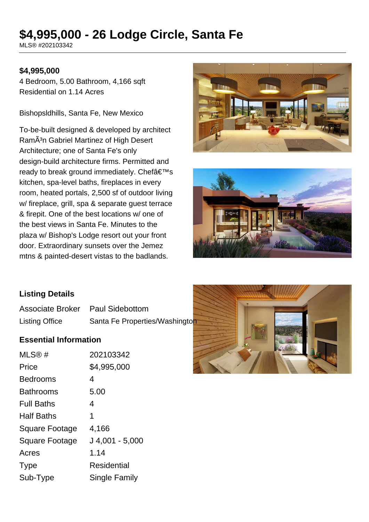# **\$4,995,000 - 26 Lodge Circle, Santa Fe**

MLS® #202103342

#### **\$4,995,000**

4 Bedroom, 5.00 Bathroom, 4,166 sqft Residential on 1.14 Acres

Bishopsldhills, Santa Fe, New Mexico

To-be-built designed & developed by architect RamÃ<sup>3</sup>n Gabriel Martinez of High Desert Architecture; one of Santa Fe's only design-build architecture firms. Permitted and ready to break ground immediately. Chef $a \in T^{M}$ s kitchen, spa-level baths, fireplaces in every room, heated portals, 2,500 sf of outdoor living w/ fireplace, grill, spa & separate guest terrace & firepit. One of the best locations w/ one of the best views in Santa Fe. Minutes to the plaza w/ Bishop's Lodge resort out your front door. Extraordinary sunsets over the Jemez mtns & painted-desert vistas to the badlands.





#### **Listing Details**

Associate Broker Paul Sidebottom Listing Office Santa Fe Properties/Washington

#### **Essential Information**

| MLS@#                 | 202103342         |
|-----------------------|-------------------|
| Price                 | \$4,995,000       |
| <b>Bedrooms</b>       | 4                 |
| <b>Bathrooms</b>      | 5.00              |
| <b>Full Baths</b>     | 4                 |
| <b>Half Baths</b>     | 1                 |
| <b>Square Footage</b> | 4,166             |
| <b>Square Footage</b> | $J$ 4,001 - 5,000 |
| Acres                 | 1.14              |
| <b>Type</b>           | Residential       |
| Sub-Type              | Single Family     |

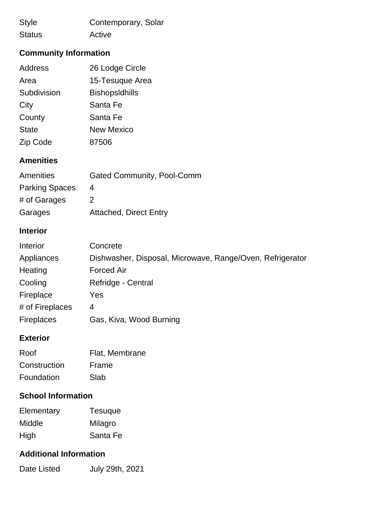| <b>Style</b>  | Contemporary, Solar |
|---------------|---------------------|
| <b>Status</b> | Active              |

# **Community Information**

| <b>Address</b> | 26 Lodge Circle       |
|----------------|-----------------------|
| Area           | 15-Tesuque Area       |
| Subdivision    | <b>BishopsIdhills</b> |
| City           | Santa Fe              |
| County         | Santa Fe              |
| <b>State</b>   | <b>New Mexico</b>     |
| Zip Code       | 87506                 |

## **Amenities**

| Amenities             | <b>Gated Community, Pool-Comm</b> |
|-----------------------|-----------------------------------|
| <b>Parking Spaces</b> | 4                                 |
| # of Garages          | 2                                 |
| Garages               | <b>Attached, Direct Entry</b>     |

## **Interior**

| Interior          | Concrete                                                  |
|-------------------|-----------------------------------------------------------|
| Appliances        | Dishwasher, Disposal, Microwave, Range/Oven, Refrigerator |
| Heating           | <b>Forced Air</b>                                         |
| Cooling           | Refridge - Central                                        |
| Fireplace         | Yes                                                       |
| # of Fireplaces   | 4                                                         |
| <b>Fireplaces</b> | Gas, Kiva, Wood Burning                                   |

## **Exterior**

| Roof         | Flat, Membrane |
|--------------|----------------|
| Construction | Frame          |
| Foundation   | Slab           |

## **School Information**

| Elementary | <b>Tesuque</b> |
|------------|----------------|
| Middle     | Milagro        |
| High       | Santa Fe       |

### **Additional Information**

Date Listed July 29th, 2021